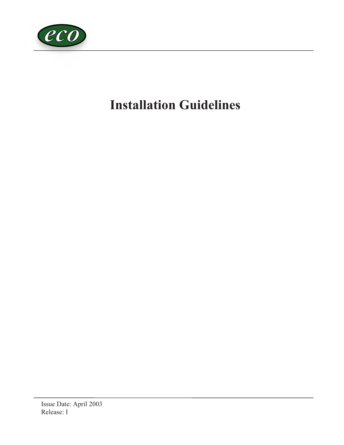

## Installation Guidelines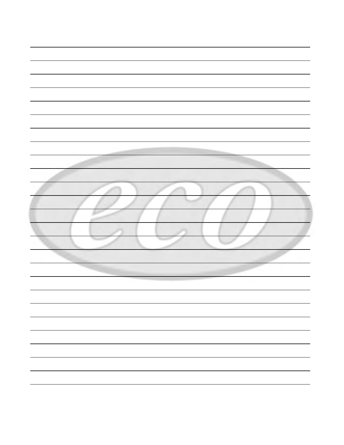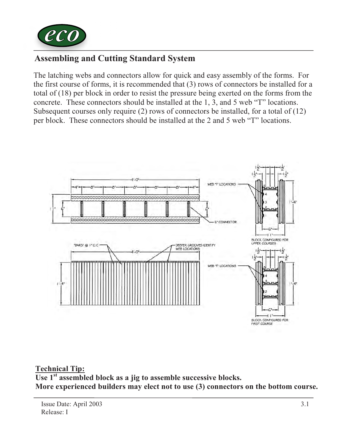

## Assembling and Cutting Standard System

The latching webs and connectors allow for quick and easy assembly of the forms. For the first course of forms, it is recommended that (3) rows of connectors be installed for a total of (18) per block in order to resist the pressure being exerted on the forms from the concrete. These connectors should be installed at the 1, 3, and 5 web "T" locations. Subsequent courses only require (2) rows of connectors be installed, for a total of (12) per block. These connectors should be installed at the 2 and 5 web "T" locations.



Technical Tip: Use  $1<sup>st</sup>$  assembled block as a jig to assemble successive blocks. More experienced builders may elect not to use (3) connectors on the bottom course.